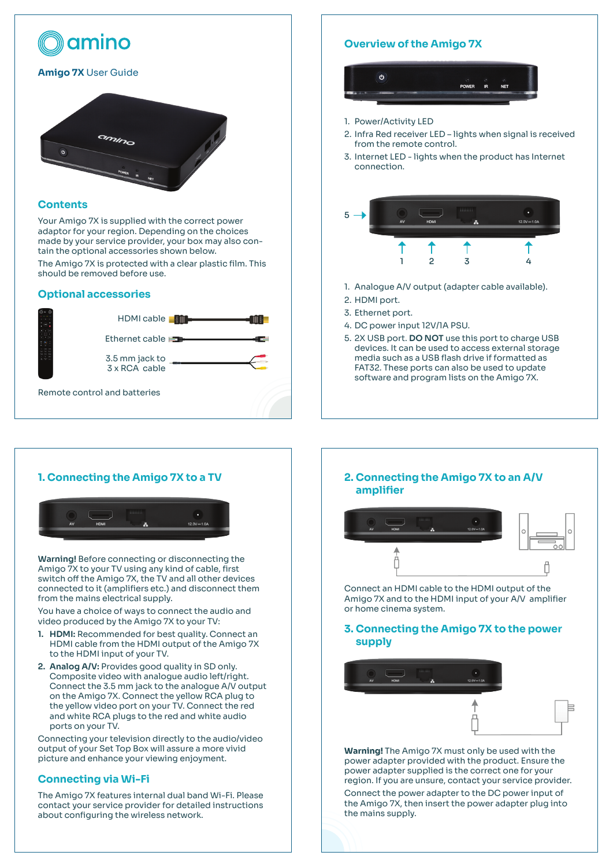

## **Contents**

Your Amigo 7X is supplied with the correct power adaptor for your region. Depending on the choices made by your service provider, your box may also contain the optional accessories shown below.

The Amigo 7X is protected with a clear plastic film. This should be removed before use.

### **Optional accessories**



# **Overview of the Amigo 7X**



- 1. Power/Activity LED
- 2. Infra Red receiver LED lights when signal is received from the remote control.
- 3. Internet LED lights when the product has Internet connection.



- 1. Analogue A/V output (adapter cable available).
- 2. HDMI port.
- 3. Ethernet port.
- 4. DC power input 12V/1A PSU.
- 5. 2X USB port. **DO NOT** use this port to charge USB devices. It can be used to access external storage media such as a USB flash drive if formatted as FAT32. These ports can also be used to update software and program lists on the Amigo 7X.

# **1. Connecting the Amigo 7X to a TV**



**Warning!** Before connecting or disconnecting the Amigo 7X to your TV using any kind of cable, first switch off the Amigo 7X, the TV and all other devices connected to it (amplifiers etc.) and disconnect them from the mains electrical supply.

You have a choice of ways to connect the audio and video produced by the Amigo 7X to your TV:

- **1. HDMI:** Recommended for best quality. Connect an HDMI cable from the HDMI output of the Amigo 7X to the HDMI input of your TV.
- **2. Analog A/V:** Provides good quality in SD only. Composite video with analogue audio left/right. Connect the 3.5 mm jack to the analogue A/V output on the Amigo 7X. Connect the yellow RCA plug to the yellow video port on your TV. Connect the red and white RCA plugs to the red and white audio ports on your TV.

Connecting your television directly to the audio/video output of your Set Top Box will assure a more vivid picture and enhance your viewing enjoyment.

# **Connecting via Wi-Fi**

The Amigo 7X features internal dual band Wi-Fi. Please contact your service provider for detailed instructions about configuring the wireless network.

## **2. Connecting the Amigo 7X to an A/V amplifier**



Connect an HDMI cable to the HDMI output of the Amigo 7X and to the HDMI input of your A/V amplifier or home cinema system.

**3. Connecting the Amigo 7X to the power supply**



**Warning!** The Amigo 7X must only be used with the power adapter provided with the product. Ensure the power adapter supplied is the correct one for your region. If you are unsure, contact your service provider.

Connect the power adapter to the DC power input of the Amigo 7X, then insert the power adapter plug into the mains supply.